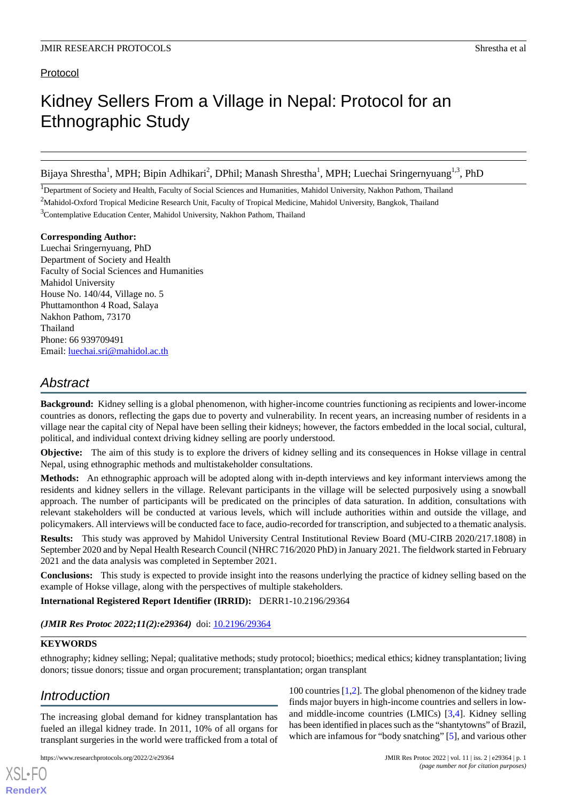# Protocol

# Kidney Sellers From a Village in Nepal: Protocol for an Ethnographic Study

Bijaya Shrestha<sup>1</sup>, MPH; Bipin Adhikari<sup>2</sup>, DPhil; Manash Shrestha<sup>1</sup>, MPH; Luechai Sringernyuang<sup>1,3</sup>, PhD

<sup>1</sup>Department of Society and Health, Faculty of Social Sciences and Humanities, Mahidol University, Nakhon Pathom, Thailand <sup>2</sup>Mahidol-Oxford Tropical Medicine Research Unit, Faculty of Tropical Medicine, Mahidol University, Bangkok, Thailand <sup>3</sup>Contemplative Education Center, Mahidol University, Nakhon Pathom, Thailand

## **Corresponding Author:**

Luechai Sringernyuang, PhD Department of Society and Health Faculty of Social Sciences and Humanities Mahidol University House No. 140/44, Village no. 5 Phuttamonthon 4 Road, Salaya Nakhon Pathom, 73170 Thailand Phone: 66 939709491 Email: [luechai.sri@mahidol.ac.th](mailto:luechai.sri@mahidol.ac.th)

# *Abstract*

**Background:** Kidney selling is a global phenomenon, with higher-income countries functioning as recipients and lower-income countries as donors, reflecting the gaps due to poverty and vulnerability. In recent years, an increasing number of residents in a village near the capital city of Nepal have been selling their kidneys; however, the factors embedded in the local social, cultural, political, and individual context driving kidney selling are poorly understood.

**Objective:** The aim of this study is to explore the drivers of kidney selling and its consequences in Hokse village in central Nepal, using ethnographic methods and multistakeholder consultations.

**Methods:** An ethnographic approach will be adopted along with in-depth interviews and key informant interviews among the residents and kidney sellers in the village. Relevant participants in the village will be selected purposively using a snowball approach. The number of participants will be predicated on the principles of data saturation. In addition, consultations with relevant stakeholders will be conducted at various levels, which will include authorities within and outside the village, and policymakers. All interviews will be conducted face to face, audio-recorded for transcription, and subjected to a thematic analysis.

**Results:** This study was approved by Mahidol University Central Institutional Review Board (MU-CIRB 2020/217.1808) in September 2020 and by Nepal Health Research Council (NHRC 716/2020 PhD) in January 2021. The fieldwork started in February 2021 and the data analysis was completed in September 2021.

**Conclusions:** This study is expected to provide insight into the reasons underlying the practice of kidney selling based on the example of Hokse village, along with the perspectives of multiple stakeholders.

**International Registered Report Identifier (IRRID):** DERR1-10.2196/29364

*(JMIR Res Protoc 2022;11(2):e29364)* doi: [10.2196/29364](http://dx.doi.org/10.2196/29364)

# **KEYWORDS**

ethnography; kidney selling; Nepal; qualitative methods; study protocol; bioethics; medical ethics; kidney transplantation; living donors; tissue donors; tissue and organ procurement; transplantation; organ transplant

# *Introduction*

[XSL](http://www.w3.org/Style/XSL)•FO **[RenderX](http://www.renderx.com/)**

The increasing global demand for kidney transplantation has fueled an illegal kidney trade. In 2011, 10% of all organs for transplant surgeries in the world were trafficked from a total of

https://www.researchprotocols.org/2022/2/e29364 JMIR Res Protoc 2022 | vol. 11 | iss. 2 | e29364 | p. 1

100 countries [\[1](#page-6-0),[2](#page-6-1)]. The global phenomenon of the kidney trade finds major buyers in high-income countries and sellers in lowand middle-income countries (LMICs) [\[3](#page-6-2),[4\]](#page-6-3). Kidney selling has been identified in places such as the "shantytowns" of Brazil, which are infamous for "body snatching" [[5\]](#page-6-4), and various other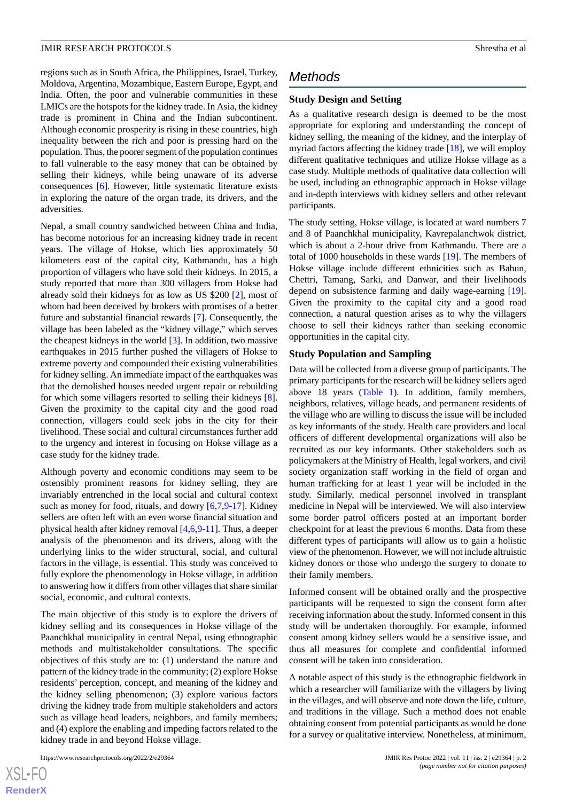regions such as in South Africa, the Philippines, Israel, Turkey, Moldova, Argentina, Mozambique, Eastern Europe, Egypt, and India. Often, the poor and vulnerable communities in these LMICs are the hotspots for the kidney trade. In Asia, the kidney trade is prominent in China and the Indian subcontinent. Although economic prosperity is rising in these countries, high inequality between the rich and poor is pressing hard on the population. Thus, the poorer segment of the population continues to fall vulnerable to the easy money that can be obtained by selling their kidneys, while being unaware of its adverse consequences [[6\]](#page-6-5). However, little systematic literature exists in exploring the nature of the organ trade, its drivers, and the adversities.

Nepal, a small country sandwiched between China and India, has become notorious for an increasing kidney trade in recent years. The village of Hokse, which lies approximately 50 kilometers east of the capital city, Kathmandu, has a high proportion of villagers who have sold their kidneys. In 2015, a study reported that more than 300 villagers from Hokse had already sold their kidneys for as low as US \$200 [\[2](#page-6-1)], most of whom had been deceived by brokers with promises of a better future and substantial financial rewards [\[7](#page-6-6)]. Consequently, the village has been labeled as the "kidney village," which serves the cheapest kidneys in the world  $[3]$  $[3]$ . In addition, two massive earthquakes in 2015 further pushed the villagers of Hokse to extreme poverty and compounded their existing vulnerabilities for kidney selling. An immediate impact of the earthquakes was that the demolished houses needed urgent repair or rebuilding for which some villagers resorted to selling their kidneys [[8\]](#page-6-7). Given the proximity to the capital city and the good road connection, villagers could seek jobs in the city for their livelihood. These social and cultural circumstances further add to the urgency and interest in focusing on Hokse village as a case study for the kidney trade.

Although poverty and economic conditions may seem to be ostensibly prominent reasons for kidney selling, they are invariably entrenched in the local social and cultural context such as money for food, rituals, and dowry  $[6,7,9-17]$  $[6,7,9-17]$  $[6,7,9-17]$  $[6,7,9-17]$  $[6,7,9-17]$  $[6,7,9-17]$ . Kidney sellers are often left with an even worse financial situation and physical health after kidney removal [\[4](#page-6-3),[6](#page-6-5)[,9](#page-6-8)-[11\]](#page-6-10). Thus, a deeper analysis of the phenomenon and its drivers, along with the underlying links to the wider structural, social, and cultural factors in the village, is essential. This study was conceived to fully explore the phenomenology in Hokse village, in addition to answering how it differs from other villages that share similar social, economic, and cultural contexts.

The main objective of this study is to explore the drivers of kidney selling and its consequences in Hokse village of the Paanchkhal municipality in central Nepal, using ethnographic methods and multistakeholder consultations. The specific objectives of this study are to: (1) understand the nature and pattern of the kidney trade in the community; (2) explore Hokse residents' perception, concept, and meaning of the kidney and the kidney selling phenomenon; (3) explore various factors driving the kidney trade from multiple stakeholders and actors such as village head leaders, neighbors, and family members; and (4) explore the enabling and impeding factors related to the kidney trade in and beyond Hokse village.

#### https://www.researchprotocols.org/2022/2/e29364 JMIR Res Protoc 2022 | vol. 11 | iss. 2 | e29364 | p. 2

# *Methods*

## **Study Design and Setting**

As a qualitative research design is deemed to be the most appropriate for exploring and understanding the concept of kidney selling, the meaning of the kidney, and the interplay of myriad factors affecting the kidney trade [\[18](#page-6-11)], we will employ different qualitative techniques and utilize Hokse village as a case study. Multiple methods of qualitative data collection will be used, including an ethnographic approach in Hokse village and in-depth interviews with kidney sellers and other relevant participants.

The study setting, Hokse village, is located at ward numbers 7 and 8 of Paanchkhal municipality, Kavrepalanchwok district, which is about a 2-hour drive from Kathmandu. There are a total of 1000 households in these wards [\[19](#page-6-12)]. The members of Hokse village include different ethnicities such as Bahun, Chettri, Tamang, Sarki, and Danwar, and their livelihoods depend on subsistence farming and daily wage-earning [[19\]](#page-6-12). Given the proximity to the capital city and a good road connection, a natural question arises as to why the villagers choose to sell their kidneys rather than seeking economic opportunities in the capital city.

#### **Study Population and Sampling**

Data will be collected from a diverse group of participants. The primary participants for the research will be kidney sellers aged above 18 years [\(Table 1](#page-2-0)). In addition, family members, neighbors, relatives, village heads, and permanent residents of the village who are willing to discuss the issue will be included as key informants of the study. Health care providers and local officers of different developmental organizations will also be recruited as our key informants. Other stakeholders such as policymakers at the Ministry of Health, legal workers, and civil society organization staff working in the field of organ and human trafficking for at least 1 year will be included in the study. Similarly, medical personnel involved in transplant medicine in Nepal will be interviewed. We will also interview some border patrol officers posted at an important border checkpoint for at least the previous 6 months. Data from these different types of participants will allow us to gain a holistic view of the phenomenon. However, we will not include altruistic kidney donors or those who undergo the surgery to donate to their family members.

Informed consent will be obtained orally and the prospective participants will be requested to sign the consent form after receiving information about the study. Informed consent in this study will be undertaken thoroughly. For example, informed consent among kidney sellers would be a sensitive issue, and thus all measures for complete and confidential informed consent will be taken into consideration.

A notable aspect of this study is the ethnographic fieldwork in which a researcher will familiarize with the villagers by living in the villages, and will observe and note down the life, culture, and traditions in the village. Such a method does not enable obtaining consent from potential participants as would be done for a survey or qualitative interview. Nonetheless, at minimum,

[XSL](http://www.w3.org/Style/XSL)•FO **[RenderX](http://www.renderx.com/)**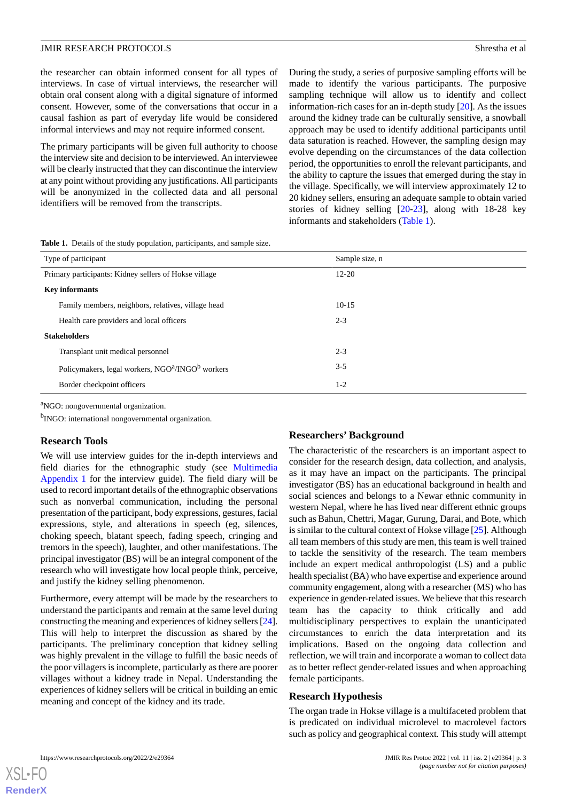the researcher can obtain informed consent for all types of interviews. In case of virtual interviews, the researcher will obtain oral consent along with a digital signature of informed consent. However, some of the conversations that occur in a causal fashion as part of everyday life would be considered informal interviews and may not require informed consent.

The primary participants will be given full authority to choose the interview site and decision to be interviewed. An interviewee will be clearly instructed that they can discontinue the interview at any point without providing any justifications. All participants will be anonymized in the collected data and all personal identifiers will be removed from the transcripts.

During the study, a series of purposive sampling efforts will be made to identify the various participants. The purposive sampling technique will allow us to identify and collect information-rich cases for an in-depth study [\[20](#page-6-13)]. As the issues around the kidney trade can be culturally sensitive, a snowball approach may be used to identify additional participants until data saturation is reached. However, the sampling design may evolve depending on the circumstances of the data collection period, the opportunities to enroll the relevant participants, and the ability to capture the issues that emerged during the stay in the village. Specifically, we will interview approximately 12 to 20 kidney sellers, ensuring an adequate sample to obtain varied stories of kidney selling [[20-](#page-6-13)[23\]](#page-6-14), along with 18-28 key informants and stakeholders [\(Table 1\)](#page-2-0).

<span id="page-2-0"></span>**Table 1.** Details of the study population, participants, and sample size.

| Type of participant                                                      | Sample size, n |
|--------------------------------------------------------------------------|----------------|
| Primary participants: Kidney sellers of Hokse village                    | $12 - 20$      |
| <b>Key informants</b>                                                    |                |
| Family members, neighbors, relatives, village head                       | $10-15$        |
| Health care providers and local officers                                 | $2 - 3$        |
| <b>Stakeholders</b>                                                      |                |
| Transplant unit medical personnel                                        | $2 - 3$        |
| Policymakers, legal workers, NGO <sup>a</sup> /INGO <sup>b</sup> workers | $3 - 5$        |
| Border checkpoint officers                                               | $1-2$          |

<sup>a</sup>NGO: nongovernmental organization.

<sup>b</sup>INGO: international nongovernmental organization.

### **Research Tools**

We will use interview guides for the in-depth interviews and field diaries for the ethnographic study (see [Multimedia](#page-5-0) [Appendix 1](#page-5-0) for the interview guide). The field diary will be used to record important details of the ethnographic observations such as nonverbal communication, including the personal presentation of the participant, body expressions, gestures, facial expressions, style, and alterations in speech (eg, silences, choking speech, blatant speech, fading speech, cringing and tremors in the speech), laughter, and other manifestations. The principal investigator (BS) will be an integral component of the research who will investigate how local people think, perceive, and justify the kidney selling phenomenon.

Furthermore, every attempt will be made by the researchers to understand the participants and remain at the same level during constructing the meaning and experiences of kidney sellers [\[24\]](#page-6-15). This will help to interpret the discussion as shared by the participants. The preliminary conception that kidney selling was highly prevalent in the village to fulfill the basic needs of the poor villagers is incomplete, particularly as there are poorer villages without a kidney trade in Nepal. Understanding the experiences of kidney sellers will be critical in building an emic meaning and concept of the kidney and its trade.

#### **Researchers' Background**

The characteristic of the researchers is an important aspect to consider for the research design, data collection, and analysis, as it may have an impact on the participants. The principal investigator (BS) has an educational background in health and social sciences and belongs to a Newar ethnic community in western Nepal, where he has lived near different ethnic groups such as Bahun, Chettri, Magar, Gurung, Darai, and Bote, which is similar to the cultural context of Hokse village [[25\]](#page-6-16). Although all team members of this study are men, this team is well trained to tackle the sensitivity of the research. The team members include an expert medical anthropologist (LS) and a public health specialist (BA) who have expertise and experience around community engagement, along with a researcher (MS) who has experience in gender-related issues. We believe that this research team has the capacity to think critically and add multidisciplinary perspectives to explain the unanticipated circumstances to enrich the data interpretation and its implications. Based on the ongoing data collection and reflection, we will train and incorporate a woman to collect data as to better reflect gender-related issues and when approaching female participants.

#### **Research Hypothesis**

The organ trade in Hokse village is a multifaceted problem that is predicated on individual microlevel to macrolevel factors such as policy and geographical context. This study will attempt

 $XS$  $\cdot$ FC **[RenderX](http://www.renderx.com/)**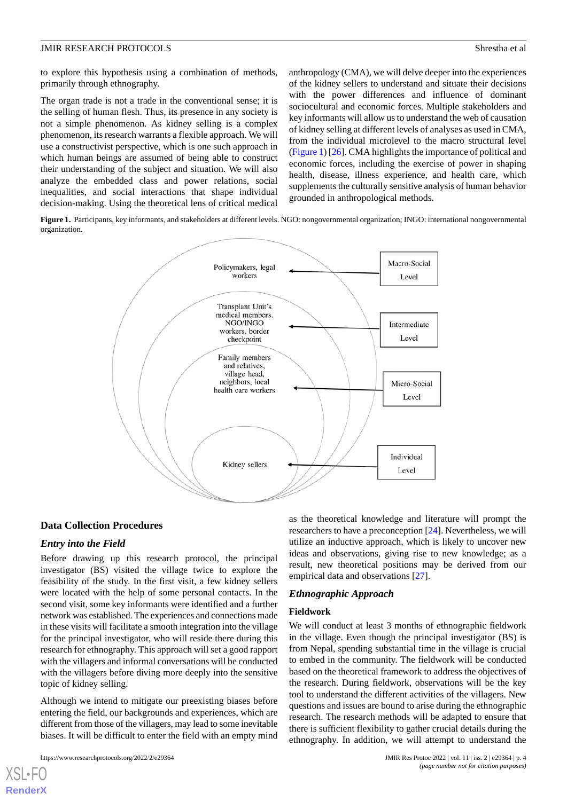to explore this hypothesis using a combination of methods, primarily through ethnography.

The organ trade is not a trade in the conventional sense; it is the selling of human flesh. Thus, its presence in any society is not a simple phenomenon. As kidney selling is a complex phenomenon, its research warrants a flexible approach. We will use a constructivist perspective, which is one such approach in which human beings are assumed of being able to construct their understanding of the subject and situation. We will also analyze the embedded class and power relations, social inequalities, and social interactions that shape individual decision-making. Using the theoretical lens of critical medical

anthropology (CMA), we will delve deeper into the experiences of the kidney sellers to understand and situate their decisions with the power differences and influence of dominant sociocultural and economic forces. Multiple stakeholders and key informants will allow us to understand the web of causation of kidney selling at different levels of analyses as used in CMA, from the individual microlevel to the macro structural level ([Figure 1\)](#page-3-0) [\[26](#page-6-17)]. CMA highlights the importance of political and economic forces, including the exercise of power in shaping health, disease, illness experience, and health care, which supplements the culturally sensitive analysis of human behavior grounded in anthropological methods.

<span id="page-3-0"></span>**Figure 1.** Participants, key informants, and stakeholders at different levels. NGO: nongovernmental organization; INGO: international nongovernmental organization.



#### **Data Collection Procedures**

#### *Entry into the Field*

Before drawing up this research protocol, the principal investigator (BS) visited the village twice to explore the feasibility of the study. In the first visit, a few kidney sellers were located with the help of some personal contacts. In the second visit, some key informants were identified and a further network was established. The experiences and connections made in these visits will facilitate a smooth integration into the village for the principal investigator, who will reside there during this research for ethnography. This approach will set a good rapport with the villagers and informal conversations will be conducted with the villagers before diving more deeply into the sensitive topic of kidney selling.

Although we intend to mitigate our preexisting biases before entering the field, our backgrounds and experiences, which are different from those of the villagers, may lead to some inevitable biases. It will be difficult to enter the field with an empty mind

[XSL](http://www.w3.org/Style/XSL)•FO **[RenderX](http://www.renderx.com/)**

as the theoretical knowledge and literature will prompt the researchers to have a preconception [[24\]](#page-6-15). Nevertheless, we will utilize an inductive approach, which is likely to uncover new ideas and observations, giving rise to new knowledge; as a result, new theoretical positions may be derived from our empirical data and observations [\[27](#page-6-18)].

## *Ethnographic Approach*

#### **Fieldwork**

We will conduct at least 3 months of ethnographic fieldwork in the village. Even though the principal investigator (BS) is from Nepal, spending substantial time in the village is crucial to embed in the community. The fieldwork will be conducted based on the theoretical framework to address the objectives of the research. During fieldwork, observations will be the key tool to understand the different activities of the villagers. New questions and issues are bound to arise during the ethnographic research. The research methods will be adapted to ensure that there is sufficient flexibility to gather crucial details during the ethnography. In addition, we will attempt to understand the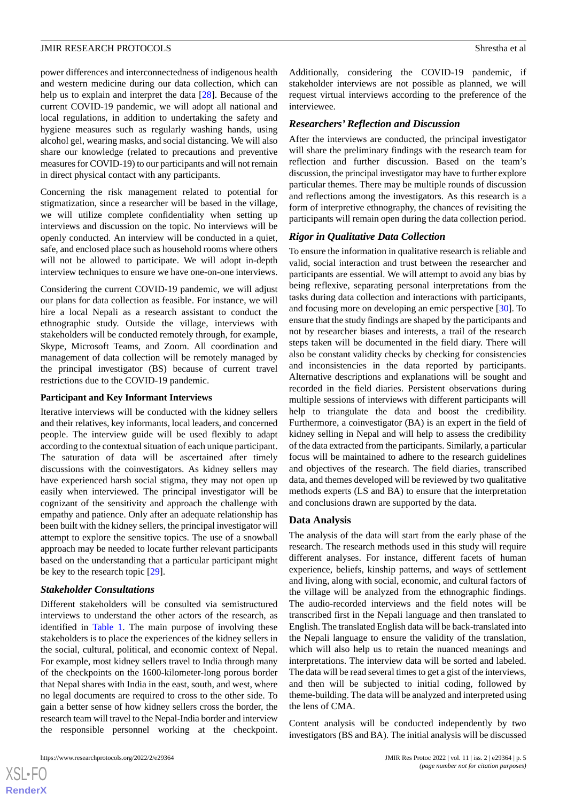power differences and interconnectedness of indigenous health and western medicine during our data collection, which can help us to explain and interpret the data [\[28](#page-6-19)]. Because of the current COVID-19 pandemic, we will adopt all national and local regulations, in addition to undertaking the safety and hygiene measures such as regularly washing hands, using alcohol gel, wearing masks, and social distancing. We will also share our knowledge (related to precautions and preventive measures for COVID-19) to our participants and will not remain in direct physical contact with any participants.

Concerning the risk management related to potential for stigmatization, since a researcher will be based in the village, we will utilize complete confidentiality when setting up interviews and discussion on the topic. No interviews will be openly conducted. An interview will be conducted in a quiet, safe, and enclosed place such as household rooms where others will not be allowed to participate. We will adopt in-depth interview techniques to ensure we have one-on-one interviews.

Considering the current COVID-19 pandemic, we will adjust our plans for data collection as feasible. For instance, we will hire a local Nepali as a research assistant to conduct the ethnographic study. Outside the village, interviews with stakeholders will be conducted remotely through, for example, Skype, Microsoft Teams, and Zoom. All coordination and management of data collection will be remotely managed by the principal investigator (BS) because of current travel restrictions due to the COVID-19 pandemic.

#### **Participant and Key Informant Interviews**

Iterative interviews will be conducted with the kidney sellers and their relatives, key informants, local leaders, and concerned people. The interview guide will be used flexibly to adapt according to the contextual situation of each unique participant. The saturation of data will be ascertained after timely discussions with the coinvestigators. As kidney sellers may have experienced harsh social stigma, they may not open up easily when interviewed. The principal investigator will be cognizant of the sensitivity and approach the challenge with empathy and patience. Only after an adequate relationship has been built with the kidney sellers, the principal investigator will attempt to explore the sensitive topics. The use of a snowball approach may be needed to locate further relevant participants based on the understanding that a particular participant might be key to the research topic [[29\]](#page-6-20).

## *Stakeholder Consultations*

Different stakeholders will be consulted via semistructured interviews to understand the other actors of the research, as identified in [Table 1.](#page-2-0) The main purpose of involving these stakeholders is to place the experiences of the kidney sellers in the social, cultural, political, and economic context of Nepal. For example, most kidney sellers travel to India through many of the checkpoints on the 1600-kilometer-long porous border that Nepal shares with India in the east, south, and west, where no legal documents are required to cross to the other side. To gain a better sense of how kidney sellers cross the border, the research team will travel to the Nepal-India border and interview the responsible personnel working at the checkpoint.

Additionally, considering the COVID-19 pandemic, if stakeholder interviews are not possible as planned, we will request virtual interviews according to the preference of the interviewee.

# *Researchers' Reflection and Discussion*

After the interviews are conducted, the principal investigator will share the preliminary findings with the research team for reflection and further discussion. Based on the team's discussion, the principal investigator may have to further explore particular themes. There may be multiple rounds of discussion and reflections among the investigators. As this research is a form of interpretive ethnography, the chances of revisiting the participants will remain open during the data collection period.

## *Rigor in Qualitative Data Collection*

To ensure the information in qualitative research is reliable and valid, social interaction and trust between the researcher and participants are essential. We will attempt to avoid any bias by being reflexive, separating personal interpretations from the tasks during data collection and interactions with participants, and focusing more on developing an emic perspective [\[30](#page-6-21)]. To ensure that the study findings are shaped by the participants and not by researcher biases and interests, a trail of the research steps taken will be documented in the field diary. There will also be constant validity checks by checking for consistencies and inconsistencies in the data reported by participants. Alternative descriptions and explanations will be sought and recorded in the field diaries. Persistent observations during multiple sessions of interviews with different participants will help to triangulate the data and boost the credibility. Furthermore, a coinvestigator (BA) is an expert in the field of kidney selling in Nepal and will help to assess the credibility of the data extracted from the participants. Similarly, a particular focus will be maintained to adhere to the research guidelines and objectives of the research. The field diaries, transcribed data, and themes developed will be reviewed by two qualitative methods experts (LS and BA) to ensure that the interpretation and conclusions drawn are supported by the data.

## **Data Analysis**

The analysis of the data will start from the early phase of the research. The research methods used in this study will require different analyses. For instance, different facets of human experience, beliefs, kinship patterns, and ways of settlement and living, along with social, economic, and cultural factors of the village will be analyzed from the ethnographic findings. The audio-recorded interviews and the field notes will be transcribed first in the Nepali language and then translated to English. The translated English data will be back-translated into the Nepali language to ensure the validity of the translation, which will also help us to retain the nuanced meanings and interpretations. The interview data will be sorted and labeled. The data will be read several times to get a gist of the interviews, and then will be subjected to initial coding, followed by theme-building. The data will be analyzed and interpreted using the lens of CMA.

Content analysis will be conducted independently by two investigators (BS and BA). The initial analysis will be discussed

 $XS$  • FO **[RenderX](http://www.renderx.com/)**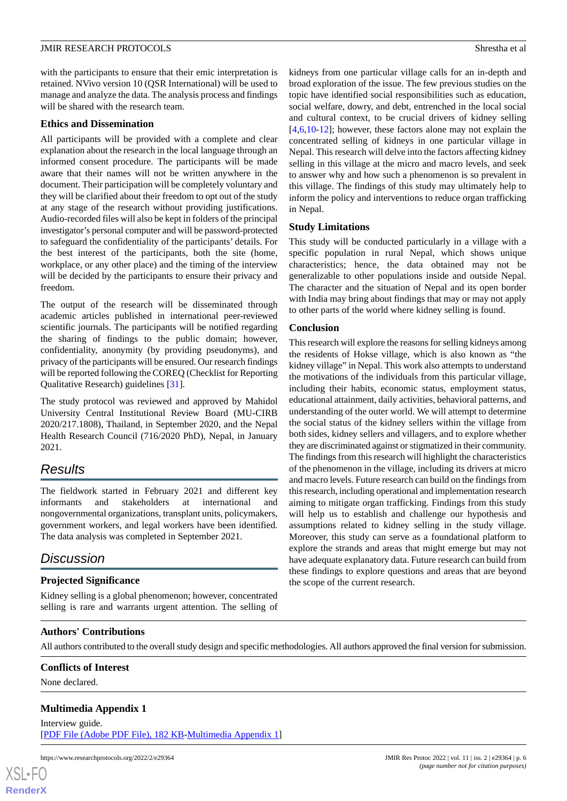with the participants to ensure that their emic interpretation is retained. NVivo version 10 (QSR International) will be used to manage and analyze the data. The analysis process and findings will be shared with the research team.

# **Ethics and Dissemination**

All participants will be provided with a complete and clear explanation about the research in the local language through an informed consent procedure. The participants will be made aware that their names will not be written anywhere in the document. Their participation will be completely voluntary and they will be clarified about their freedom to opt out of the study at any stage of the research without providing justifications. Audio-recorded files will also be kept in folders of the principal investigator's personal computer and will be password-protected to safeguard the confidentiality of the participants' details. For the best interest of the participants, both the site (home, workplace, or any other place) and the timing of the interview will be decided by the participants to ensure their privacy and freedom.

The output of the research will be disseminated through academic articles published in international peer-reviewed scientific journals. The participants will be notified regarding the sharing of findings to the public domain; however, confidentiality, anonymity (by providing pseudonyms), and privacy of the participants will be ensured. Our research findings will be reported following the COREQ (Checklist for Reporting Qualitative Research) guidelines [\[31](#page-6-22)].

The study protocol was reviewed and approved by Mahidol University Central Institutional Review Board (MU-CIRB 2020/217.1808), Thailand, in September 2020, and the Nepal Health Research Council (716/2020 PhD), Nepal, in January 2021.

# *Results*

The fieldwork started in February 2021 and different key informants and stakeholders at international and nongovernmental organizations, transplant units, policymakers, government workers, and legal workers have been identified. The data analysis was completed in September 2021.

# *Discussion*

# **Projected Significance**

Kidney selling is a global phenomenon; however, concentrated selling is rare and warrants urgent attention. The selling of kidneys from one particular village calls for an in-depth and broad exploration of the issue. The few previous studies on the topic have identified social responsibilities such as education, social welfare, dowry, and debt, entrenched in the local social and cultural context, to be crucial drivers of kidney selling [[4](#page-6-3)[,6,](#page-6-5)[10](#page-6-23)[-12](#page-6-24)]; however, these factors alone may not explain the concentrated selling of kidneys in one particular village in Nepal. This research will delve into the factors affecting kidney selling in this village at the micro and macro levels, and seek to answer why and how such a phenomenon is so prevalent in this village. The findings of this study may ultimately help to inform the policy and interventions to reduce organ trafficking in Nepal.

# **Study Limitations**

This study will be conducted particularly in a village with a specific population in rural Nepal, which shows unique characteristics; hence, the data obtained may not be generalizable to other populations inside and outside Nepal. The character and the situation of Nepal and its open border with India may bring about findings that may or may not apply to other parts of the world where kidney selling is found.

# **Conclusion**

This research will explore the reasons for selling kidneys among the residents of Hokse village, which is also known as "the kidney village" in Nepal. This work also attempts to understand the motivations of the individuals from this particular village, including their habits, economic status, employment status, educational attainment, daily activities, behavioral patterns, and understanding of the outer world. We will attempt to determine the social status of the kidney sellers within the village from both sides, kidney sellers and villagers, and to explore whether they are discriminated against or stigmatized in their community. The findings from this research will highlight the characteristics of the phenomenon in the village, including its drivers at micro and macro levels. Future research can build on the findings from this research, including operational and implementation research aiming to mitigate organ trafficking. Findings from this study will help us to establish and challenge our hypothesis and assumptions related to kidney selling in the study village. Moreover, this study can serve as a foundational platform to explore the strands and areas that might emerge but may not have adequate explanatory data. Future research can build from these findings to explore questions and areas that are beyond the scope of the current research.

# <span id="page-5-0"></span>**Authors' Contributions**

All authors contributed to the overall study design and specific methodologies. All authors approved the final version for submission.

## **Conflicts of Interest**

None declared.

# **Multimedia Appendix 1**

Interview guide. [[PDF File \(Adobe PDF File\), 182 KB](https://jmir.org/api/download?alt_name=resprot_v11i2e29364_app1.pdf&filename=0c0a0bdbb15680e1d31f2f1adc423e52.pdf)-[Multimedia Appendix 1\]](https://jmir.org/api/download?alt_name=resprot_v11i2e29364_app1.pdf&filename=0c0a0bdbb15680e1d31f2f1adc423e52.pdf)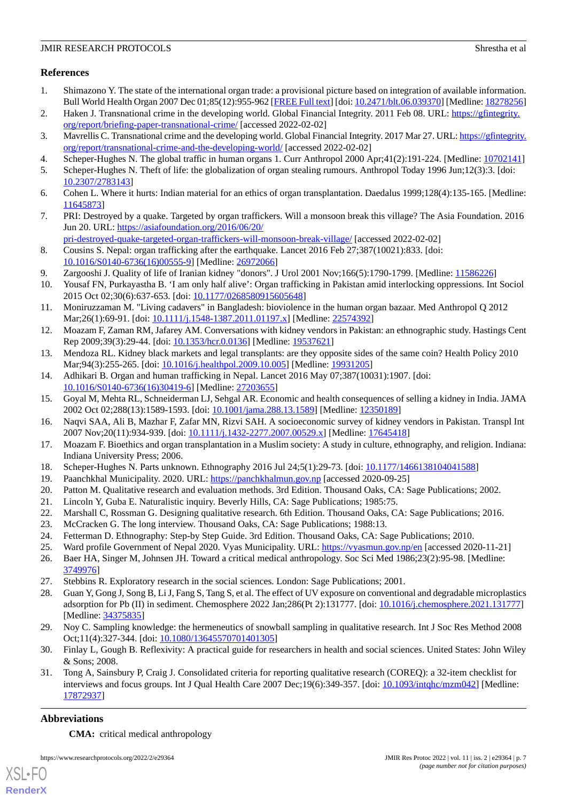# **References**

- <span id="page-6-0"></span>1. Shimazono Y. The state of the international organ trade: a provisional picture based on integration of available information. Bull World Health Organ 2007 Dec 01;85(12):955-962 [[FREE Full text\]](http://europepmc.org/abstract/MED/18278256) [doi: [10.2471/blt.06.039370](http://dx.doi.org/10.2471/blt.06.039370)] [Medline: [18278256\]](http://www.ncbi.nlm.nih.gov/entrez/query.fcgi?cmd=Retrieve&db=PubMed&list_uids=18278256&dopt=Abstract)
- <span id="page-6-2"></span><span id="page-6-1"></span>2. Haken J. Transnational crime in the developing world. Global Financial Integrity. 2011 Feb 08. URL: [https://gfintegrity.](https://gfintegrity.org/report/briefing-paper-transnational-crime/) [org/report/briefing-paper-transnational-crime/](https://gfintegrity.org/report/briefing-paper-transnational-crime/) [accessed 2022-02-02]
- <span id="page-6-3"></span>3. Mavrellis C. Transnational crime and the developing world. Global Financial Integrity. 2017 Mar 27. URL: [https://gfintegrity.](https://gfintegrity.org/report/transnational-crime-and-the-developing-world/) [org/report/transnational-crime-and-the-developing-world/](https://gfintegrity.org/report/transnational-crime-and-the-developing-world/) [accessed 2022-02-02]
- <span id="page-6-4"></span>4. Scheper-Hughes N. The global traffic in human organs 1. Curr Anthropol 2000 Apr;41(2):191-224. [Medline: [10702141](http://www.ncbi.nlm.nih.gov/entrez/query.fcgi?cmd=Retrieve&db=PubMed&list_uids=10702141&dopt=Abstract)]
- <span id="page-6-5"></span>5. Scheper-Hughes N. Theft of life: the globalization of organ stealing rumours. Anthropol Today 1996 Jun;12(3):3. [doi: [10.2307/2783143\]](http://dx.doi.org/10.2307/2783143)
- <span id="page-6-6"></span>6. Cohen L. Where it hurts: Indian material for an ethics of organ transplantation. Daedalus 1999;128(4):135-165. [Medline: [11645873](http://www.ncbi.nlm.nih.gov/entrez/query.fcgi?cmd=Retrieve&db=PubMed&list_uids=11645873&dopt=Abstract)]
- <span id="page-6-7"></span>7. PRI: Destroyed by a quake. Targeted by organ traffickers. Will a monsoon break this village? The Asia Foundation. 2016 Jun 20. URL: [https://asiafoundation.org/2016/06/20/](https://asiafoundation.org/2016/06/20/pri-destroyed-quake-targeted-organ-traffickers-will-monsoon-break-village/)
- <span id="page-6-8"></span>[pri-destroyed-quake-targeted-organ-traffickers-will-monsoon-break-village/](https://asiafoundation.org/2016/06/20/pri-destroyed-quake-targeted-organ-traffickers-will-monsoon-break-village/) [accessed 2022-02-02] 8. Cousins S. Nepal: organ trafficking after the earthquake. Lancet 2016 Feb 27;387(10021):833. [doi: [10.1016/S0140-6736\(16\)00555-9\]](http://dx.doi.org/10.1016/S0140-6736(16)00555-9) [Medline: [26972066](http://www.ncbi.nlm.nih.gov/entrez/query.fcgi?cmd=Retrieve&db=PubMed&list_uids=26972066&dopt=Abstract)]
- <span id="page-6-23"></span><span id="page-6-10"></span>9. Zargooshi J. Quality of life of Iranian kidney "donors". J Urol 2001 Nov;166(5):1790-1799. [Medline: [11586226](http://www.ncbi.nlm.nih.gov/entrez/query.fcgi?cmd=Retrieve&db=PubMed&list_uids=11586226&dopt=Abstract)]
- 10. Yousaf FN, Purkayastha B. 'I am only half alive': Organ trafficking in Pakistan amid interlocking oppressions. Int Sociol 2015 Oct 02;30(6):637-653. [doi: [10.1177/0268580915605648](http://dx.doi.org/10.1177/0268580915605648)]
- <span id="page-6-24"></span>11. Moniruzzaman M. "Living cadavers" in Bangladesh: bioviolence in the human organ bazaar. Med Anthropol Q 2012 Mar;26(1):69-91. [doi: [10.1111/j.1548-1387.2011.01197.x\]](http://dx.doi.org/10.1111/j.1548-1387.2011.01197.x) [Medline: [22574392](http://www.ncbi.nlm.nih.gov/entrez/query.fcgi?cmd=Retrieve&db=PubMed&list_uids=22574392&dopt=Abstract)]
- 12. Moazam F, Zaman RM, Jafarey AM. Conversations with kidney vendors in Pakistan: an ethnographic study. Hastings Cent Rep 2009;39(3):29-44. [doi: [10.1353/hcr.0.0136\]](http://dx.doi.org/10.1353/hcr.0.0136) [Medline: [19537621](http://www.ncbi.nlm.nih.gov/entrez/query.fcgi?cmd=Retrieve&db=PubMed&list_uids=19537621&dopt=Abstract)]
- 13. Mendoza RL. Kidney black markets and legal transplants: are they opposite sides of the same coin? Health Policy 2010 Mar;94(3):255-265. [doi: [10.1016/j.healthpol.2009.10.005](http://dx.doi.org/10.1016/j.healthpol.2009.10.005)] [Medline: [19931205](http://www.ncbi.nlm.nih.gov/entrez/query.fcgi?cmd=Retrieve&db=PubMed&list_uids=19931205&dopt=Abstract)]
- 14. Adhikari B. Organ and human trafficking in Nepal. Lancet 2016 May 07;387(10031):1907. [doi: [10.1016/S0140-6736\(16\)30419-6\]](http://dx.doi.org/10.1016/S0140-6736(16)30419-6) [Medline: [27203655](http://www.ncbi.nlm.nih.gov/entrez/query.fcgi?cmd=Retrieve&db=PubMed&list_uids=27203655&dopt=Abstract)]
- <span id="page-6-9"></span>15. Goyal M, Mehta RL, Schneiderman LJ, Sehgal AR. Economic and health consequences of selling a kidney in India. JAMA 2002 Oct 02;288(13):1589-1593. [doi: [10.1001/jama.288.13.1589](http://dx.doi.org/10.1001/jama.288.13.1589)] [Medline: [12350189\]](http://www.ncbi.nlm.nih.gov/entrez/query.fcgi?cmd=Retrieve&db=PubMed&list_uids=12350189&dopt=Abstract)
- <span id="page-6-12"></span><span id="page-6-11"></span>16. Naqvi SAA, Ali B, Mazhar F, Zafar MN, Rizvi SAH. A socioeconomic survey of kidney vendors in Pakistan. Transpl Int 2007 Nov;20(11):934-939. [doi: [10.1111/j.1432-2277.2007.00529.x](http://dx.doi.org/10.1111/j.1432-2277.2007.00529.x)] [Medline: [17645418](http://www.ncbi.nlm.nih.gov/entrez/query.fcgi?cmd=Retrieve&db=PubMed&list_uids=17645418&dopt=Abstract)]
- <span id="page-6-13"></span>17. Moazam F. Bioethics and organ transplantation in a Muslim society: A study in culture, ethnography, and religion. Indiana: Indiana University Press; 2006.
- 18. Scheper-Hughes N. Parts unknown. Ethnography 2016 Jul 24;5(1):29-73. [doi: [10.1177/1466138104041588\]](http://dx.doi.org/10.1177/1466138104041588)
- <span id="page-6-15"></span><span id="page-6-14"></span>19. Paanchkhal Municipality. 2020. URL:<https://panchkhalmun.gov.np> [accessed 2020-09-25]
- <span id="page-6-16"></span>20. Patton M. Qualitative research and evaluation methods. 3rd Edition. Thousand Oaks, CA: Sage Publications; 2002.
- <span id="page-6-17"></span>21. Lincoln Y, Guba E. Naturalistic inquiry. Beverly Hills, CA: Sage Publications; 1985:75.
- 22. Marshall C, Rossman G. Designing qualitative research. 6th Edition. Thousand Oaks, CA: Sage Publications; 2016.
- <span id="page-6-18"></span>23. McCracken G. The long interview. Thousand Oaks, CA: Sage Publications; 1988:13.
- <span id="page-6-19"></span>24. Fetterman D. Ethnography: Step-by Step Guide. 3rd Edition. Thousand Oaks, CA: Sage Publications; 2010.
- 25. Ward profile Government of Nepal 2020. Vyas Municipality. URL:<https://vyasmun.gov.np/en> [accessed 2020-11-21]
- <span id="page-6-20"></span>26. Baer HA, Singer M, Johnsen JH. Toward a critical medical anthropology. Soc Sci Med 1986;23(2):95-98. [Medline: [3749976\]](http://www.ncbi.nlm.nih.gov/entrez/query.fcgi?cmd=Retrieve&db=PubMed&list_uids=3749976&dopt=Abstract)
- <span id="page-6-21"></span>27. Stebbins R. Exploratory research in the social sciences. London: Sage Publications; 2001.
- <span id="page-6-22"></span>28. Guan Y, Gong J, Song B, Li J, Fang S, Tang S, et al. The effect of UV exposure on conventional and degradable microplastics adsorption for Pb (II) in sediment. Chemosphere 2022 Jan;286(Pt 2):131777. [doi: [10.1016/j.chemosphere.2021.131777\]](http://dx.doi.org/10.1016/j.chemosphere.2021.131777) [Medline: [34375835](http://www.ncbi.nlm.nih.gov/entrez/query.fcgi?cmd=Retrieve&db=PubMed&list_uids=34375835&dopt=Abstract)]
- 29. Noy C. Sampling knowledge: the hermeneutics of snowball sampling in qualitative research. Int J Soc Res Method 2008 Oct;11(4):327-344. [doi: [10.1080/13645570701401305](http://dx.doi.org/10.1080/13645570701401305)]
- 30. Finlay L, Gough B. Reflexivity: A practical guide for researchers in health and social sciences. United States: John Wiley & Sons; 2008.
- 31. Tong A, Sainsbury P, Craig J. Consolidated criteria for reporting qualitative research (COREQ): a 32-item checklist for interviews and focus groups. Int J Qual Health Care 2007 Dec;19(6):349-357. [doi: [10.1093/intqhc/mzm042\]](http://dx.doi.org/10.1093/intqhc/mzm042) [Medline: [17872937](http://www.ncbi.nlm.nih.gov/entrez/query.fcgi?cmd=Retrieve&db=PubMed&list_uids=17872937&dopt=Abstract)]

# **Abbreviations**

[XSL](http://www.w3.org/Style/XSL)•FO **[RenderX](http://www.renderx.com/)**

**CMA:** critical medical anthropology